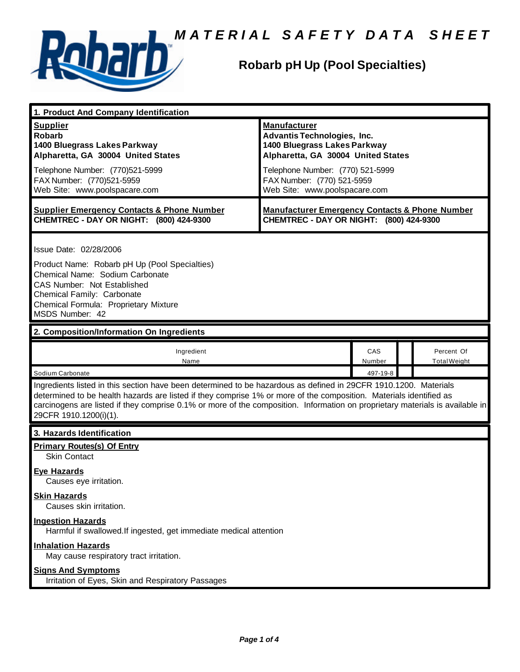



#### **Robarb pH Up (Pool Specialties)**

| 1. Product And Company Identification                                                                                                                                                                                                                                                                                                                                                                                             |                                                                                                                                                                                                                                    |               |                                   |  |
|-----------------------------------------------------------------------------------------------------------------------------------------------------------------------------------------------------------------------------------------------------------------------------------------------------------------------------------------------------------------------------------------------------------------------------------|------------------------------------------------------------------------------------------------------------------------------------------------------------------------------------------------------------------------------------|---------------|-----------------------------------|--|
| <b>Supplier</b><br><b>Robarb</b><br>1400 Bluegrass Lakes Parkway<br>Alpharetta, GA 30004 United States<br>Telephone Number: (770)521-5999<br>FAX Number: (770)521-5959<br>Web Site: www.poolspacare.com                                                                                                                                                                                                                           | <b>Manufacturer</b><br><b>Advantis Technologies, Inc.</b><br>1400 Bluegrass Lakes Parkway<br>Alpharetta, GA 30004 United States<br>Telephone Number: (770) 521-5999<br>FAX Number: (770) 521-5959<br>Web Site: www.poolspacare.com |               |                                   |  |
| <b>Supplier Emergency Contacts &amp; Phone Number</b><br>CHEMTREC - DAY OR NIGHT: (800) 424-9300                                                                                                                                                                                                                                                                                                                                  | <b>Manufacturer Emergency Contacts &amp; Phone Number</b><br>CHEMTREC - DAY OR NIGHT: (800) 424-9300                                                                                                                               |               |                                   |  |
| Issue Date: 02/28/2006<br>Product Name: Robarb pH Up (Pool Specialties)<br>Chemical Name: Sodium Carbonate<br>CAS Number: Not Established<br>Chemical Family: Carbonate<br>Chemical Formula: Proprietary Mixture<br>MSDS Number: 42                                                                                                                                                                                               |                                                                                                                                                                                                                                    |               |                                   |  |
| 2. Composition/Information On Ingredients                                                                                                                                                                                                                                                                                                                                                                                         |                                                                                                                                                                                                                                    |               |                                   |  |
| Ingredient<br>Name                                                                                                                                                                                                                                                                                                                                                                                                                |                                                                                                                                                                                                                                    | CAS<br>Number | Percent Of<br><b>Total Weight</b> |  |
| Sodium Carbonate<br>497-19-8<br>Ingredients listed in this section have been determined to be hazardous as defined in 29CFR 1910.1200. Materials<br>determined to be health hazards are listed if they comprise 1% or more of the composition. Materials identified as<br>carcinogens are listed if they comprise 0.1% or more of the composition. Information on proprietary materials is available in<br>29CFR 1910.1200(i)(1). |                                                                                                                                                                                                                                    |               |                                   |  |
| 3. Hazards Identification                                                                                                                                                                                                                                                                                                                                                                                                         |                                                                                                                                                                                                                                    |               |                                   |  |
| <b>Primary Routes(s) Of Entry</b><br><b>Skin Contact</b><br><b>Eye Hazards</b>                                                                                                                                                                                                                                                                                                                                                    |                                                                                                                                                                                                                                    |               |                                   |  |
| Causes eye irritation.<br><b>Skin Hazards</b><br>Causes skin irritation.                                                                                                                                                                                                                                                                                                                                                          |                                                                                                                                                                                                                                    |               |                                   |  |
| <b>Ingestion Hazards</b><br>Harmful if swallowed. If ingested, get immediate medical attention                                                                                                                                                                                                                                                                                                                                    |                                                                                                                                                                                                                                    |               |                                   |  |
| <b>Inhalation Hazards</b><br>May cause respiratory tract irritation.                                                                                                                                                                                                                                                                                                                                                              |                                                                                                                                                                                                                                    |               |                                   |  |
| <b>Signs And Symptoms</b><br>Irritation of Eyes, Skin and Respiratory Passages                                                                                                                                                                                                                                                                                                                                                    |                                                                                                                                                                                                                                    |               |                                   |  |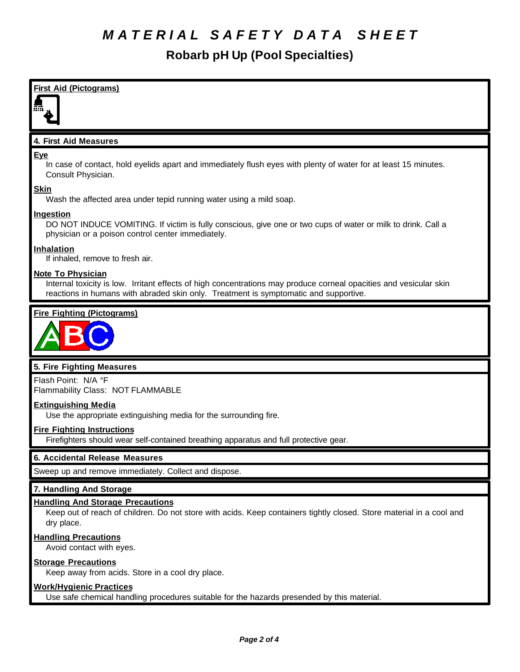## *M A T E R I A L S A F E T Y D A T A S H E E T*

**Robarb pH Up (Pool Specialties)**



Keep away from acids. Store in a cool dry place.

#### **Work/Hygienic Practices**

**Eye**

Use safe chemical handling procedures suitable for the hazards presended by this material.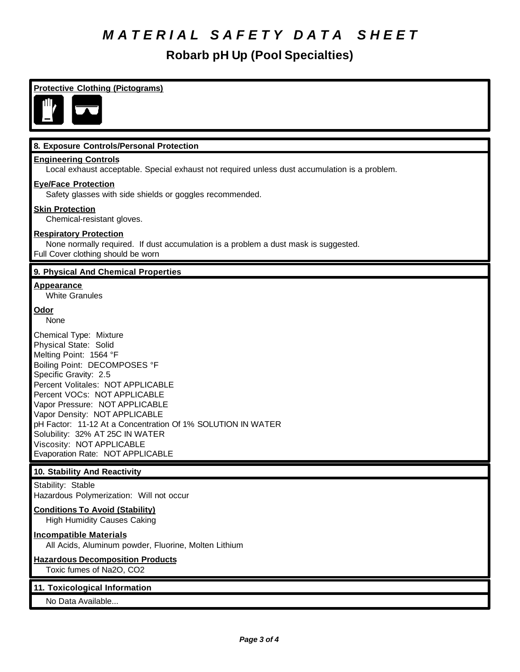## *M A T E R I A L S A F E T Y D A T A S H E E T*

**Robarb pH Up (Pool Specialties)**

#### **Protective Clothing (Pictograms) 8. Exposure Controls/Personal Protection Engineering Controls** Local exhaust acceptable. Special exhaust not required unless dust accumulation is a problem. **Eye/Face Protection** Safety glasses with side shields or goggles recommended. **Skin Protection** Chemical-resistant gloves. **Respiratory Protection** None normally required. If dust accumulation is a problem a dust mask is suggested. Full Cover clothing should be worn **9. Physical And Chemical Properties Appearance** White Granules **Odor** None Chemical Type: Mixture Physical State: Solid Melting Point: 1564 °F Boiling Point: DECOMPOSES °F Specific Gravity: 2.5 Percent Volitales: NOT APPLICABLE Percent VOCs: NOT APPLICABLE Vapor Pressure: NOT APPLICABLE Vapor Density: NOT APPLICABLE pH Factor: 11-12 At a Concentration Of 1% SOLUTION IN WATER Solubility: 32% AT 25C IN WATER Viscosity: NOT APPLICABLE Evaporation Rate: NOT APPLICABLE **10. Stability And Reactivity** Stability: Stable Hazardous Polymerization: Will not occur **Conditions To Avoid (Stability)** High Humidity Causes Caking **Incompatible Materials** All Acids, Aluminum powder, Fluorine, Molten Lithium **Hazardous Decomposition Products** Toxic fumes of Na2O, CO2 **11. Toxicological Information** No Data Available...